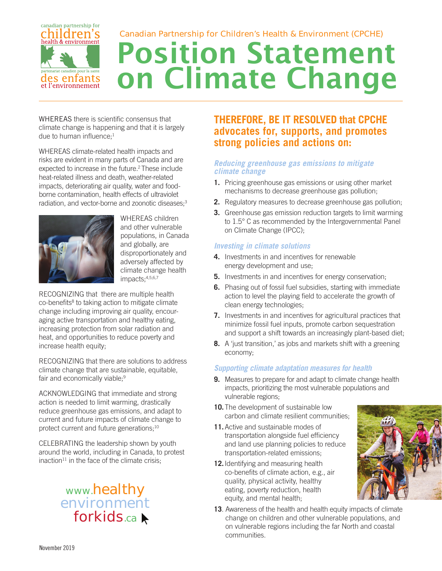#### canadian partnership for hildren's Canadian Partnership for Children's Health & Environment (CPCHE) health & environment **Position Statement on Climate Change** nariat canadien pour la sante les enfants et l'environnement

WHEREAS there is scientific consensus that climate change is happening and that it is largely due to human influence; $<sup>1</sup>$ </sup>

WHEREAS climate-related health impacts and risks are evident in many parts of Canada and are expected to increase in the future.<sup>2</sup> These include heat-related illness and death, weather-related impacts, deteriorating air quality, water and foodborne contamination, health effects of ultraviolet radiation, and vector-borne and zoonotic diseases;<sup>3</sup>



WHEREAS children and other vulnerable populations, in Canada and globally, are disproportionately and adversely affected by climate change health impacts;4,5,6,7

RECOGNIZING that there are multiple health co-benefits<sup>8</sup> to taking action to mitigate climate change including improving air quality, encouraging active transportation and healthy eating, increasing protection from solar radiation and heat, and opportunities to reduce poverty and increase health equity;

RECOGNIZING that there are solutions to address climate change that are sustainable, equitable, fair and economically viable;<sup>9</sup>

ACKNOWLEDGING that immediate and strong action is needed to limit warming, drastically reduce greenhouse gas emissions, and adapt to current and future impacts of climate change to protect current and future generations;<sup>10</sup>

CELEBRATING the leadership shown by youth around the world, including in Canada, to protest inaction<sup>11</sup> in the face of the climate crisis;

> www.healthy environment forkids.ca

## **THEREFORE, BE IT RESOLVED that CPCHE advocates for, supports, and promotes strong policies and actions on:**

## *Reducing greenhouse gas emissions to mitigate climate change*

- **1.** Pricing greenhouse gas emissions or using other market mechanisms to decrease greenhouse gas pollution;
- **2.** Regulatory measures to decrease greenhouse gas pollution;
- **3.** Greenhouse gas emission reduction targets to limit warming to 1.5° C as recommended by the Intergovernmental Panel on Climate Change (IPCC);

## *Investing in climate solutions*

- **4.** Investments in and incentives for renewable energy development and use;
- **5.** Investments in and incentives for energy conservation;
- **6.** Phasing out of fossil fuel subsidies, starting with immediate action to level the playing field to accelerate the growth of clean energy technologies;
- **7.** Investments in and incentives for agricultural practices that minimize fossil fuel inputs, promote carbon sequestration and support a shift towards an increasingly plant-based diet;
- **8.** A 'just transition,' as jobs and markets shift with a greening economy;

## *Supporting climate adaptation measures for health*

- **9.** Measures to prepare for and adapt to climate change health impacts, prioritizing the most vulnerable populations and vulnerable regions;
- **10.** The development of sustainable low carbon and climate resilient communities;
- **11.** Active and sustainable modes of transportation alongside fuel efficiency and land use planning policies to reduce transportation-related emissions;
- **12.** Identifying and measuring health co-benefits of climate action, e.g., air quality, physical activity, healthy eating, poverty reduction, health equity, and mental health;
- **13**. Awareness of the health and health equity impacts of climate change on children and other vulnerable populations, and on vulnerable regions including the far North and coastal communities.